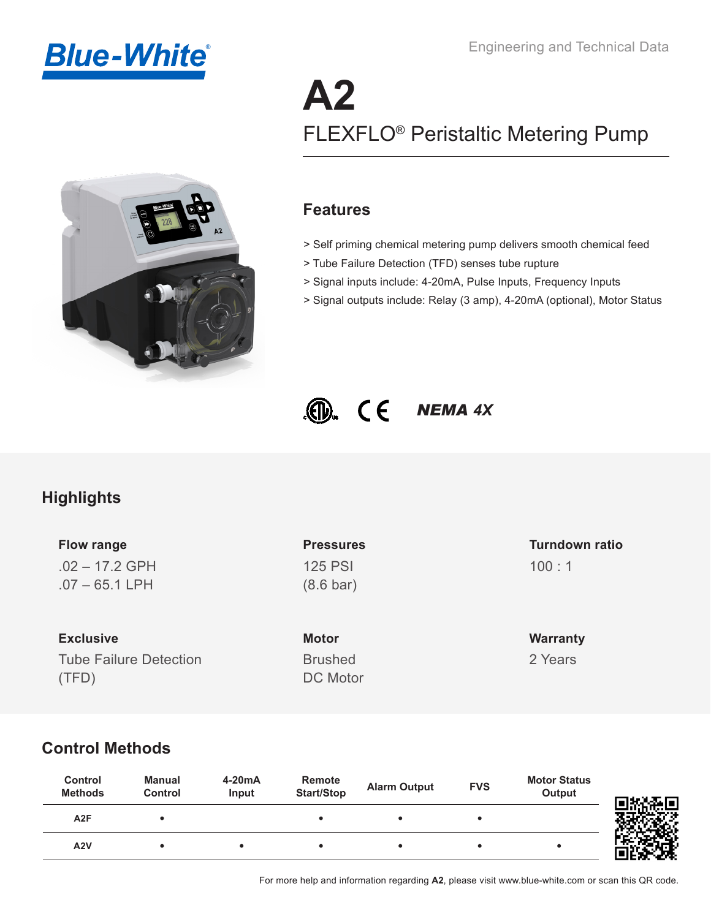



# **A2** [FLEXFLO® Peristaltic Metering Pump](https://www.blue-white.com/product/a2-peristaltic-metering-pump/)

### **Features**

- > Self priming chemical metering pump delivers smooth chemical feed
- > Tube Failure Detection (TFD) senses tube rupture
- > Signal inputs include: 4-20mA, Pulse Inputs, Frequency Inputs
- > Signal outputs include: Relay (3 amp), 4-20mA (optional), Motor Status



### **Highlights**

.02 – 17.2 GPH .07 – 65.1 LPH **Flow range**

Tube Failure Detection (TFD) **Exclusive**

125 PSI (8.6 bar)

**Motor Warranty** Brushed DC Motor

#### 100 : 1 **Pressures Turndown ratio**

2 Years

### **Control Methods**

| Control<br><b>Methods</b> | Manual<br>Control | $4-20mA$<br>Input | <b>Remote</b><br><b>Start/Stop</b> | <b>Alarm Output</b> | <b>FVS</b> | <b>Motor Status</b><br><b>Output</b> | 南北海口 |
|---------------------------|-------------------|-------------------|------------------------------------|---------------------|------------|--------------------------------------|------|
| A <sub>2</sub> F          |                   |                   |                                    |                     |            |                                      |      |
| A2V                       |                   |                   |                                    |                     |            |                                      |      |

For more help and information regarding **A2**, please visit www.blue-white.com or scan this QR code.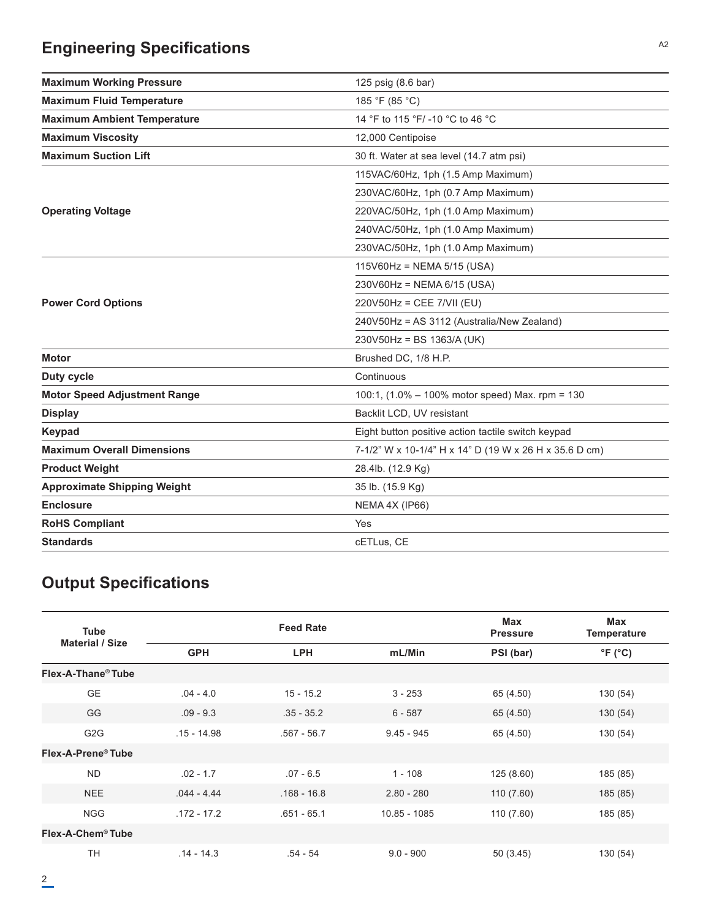## **Engineering Specifications**

| <b>Maximum Working Pressure</b>     | 125 psig (8.6 bar)                                          |
|-------------------------------------|-------------------------------------------------------------|
| <b>Maximum Fluid Temperature</b>    | 185 °F (85 °C)                                              |
| <b>Maximum Ambient Temperature</b>  | 14 °F to 115 °F/-10 °C to 46 °C                             |
| <b>Maximum Viscosity</b>            | 12,000 Centipoise                                           |
| <b>Maximum Suction Lift</b>         | 30 ft. Water at sea level (14.7 atm psi)                    |
|                                     | 115VAC/60Hz, 1ph (1.5 Amp Maximum)                          |
|                                     | 230VAC/60Hz, 1ph (0.7 Amp Maximum)                          |
| <b>Operating Voltage</b>            | 220VAC/50Hz, 1ph (1.0 Amp Maximum)                          |
|                                     | 240VAC/50Hz, 1ph (1.0 Amp Maximum)                          |
|                                     | 230VAC/50Hz, 1ph (1.0 Amp Maximum)                          |
|                                     | $115\sqrt{60}$ Hz = NEMA 5/15 (USA)                         |
|                                     | 230V60Hz = NEMA 6/15 (USA)                                  |
| <b>Power Cord Options</b>           | $220V50Hz = CEE 7/VII (EU)$                                 |
|                                     | 240V50Hz = AS 3112 (Australia/New Zealand)                  |
|                                     | 230V50Hz = BS 1363/A (UK)                                   |
| <b>Motor</b>                        | Brushed DC, 1/8 H.P.                                        |
| Duty cycle                          | Continuous                                                  |
| <b>Motor Speed Adjustment Range</b> | 100:1, $(1.0\% - 100\% \text{ motor speed})$ Max. rpm = 130 |
| <b>Display</b>                      | Backlit LCD, UV resistant                                   |
| <b>Keypad</b>                       | Eight button positive action tactile switch keypad          |
| <b>Maximum Overall Dimensions</b>   | 7-1/2" W x 10-1/4" H x 14" D (19 W x 26 H x 35.6 D cm)      |
| <b>Product Weight</b>               | 28.4lb. (12.9 Kg)                                           |
| <b>Approximate Shipping Weight</b>  | 35 lb. (15.9 Kg)                                            |
| <b>Enclosure</b>                    | NEMA 4X (IP66)                                              |
| <b>RoHS Compliant</b>               | Yes                                                         |
| <b>Standards</b>                    | cETLus, CE                                                  |
|                                     |                                                             |

## **Output Specifications**

| <b>Tube</b>                    |               | <b>Feed Rate</b> |              | <b>Max</b><br><b>Pressure</b> | <b>Max</b><br><b>Temperature</b> |
|--------------------------------|---------------|------------------|--------------|-------------------------------|----------------------------------|
| <b>Material / Size</b>         | <b>GPH</b>    | <b>LPH</b>       | mL/Min       | PSI (bar)                     | $\degree$ F ( $\degree$ C)       |
| Flex-A-Thane <sup>®</sup> Tube |               |                  |              |                               |                                  |
| <b>GE</b>                      | $.04 - 4.0$   | $15 - 15.2$      | $3 - 253$    | 65 (4.50)                     | 130 (54)                         |
| GG                             | $.09 - 9.3$   | $.35 - 35.2$     | $6 - 587$    | 65 (4.50)                     | 130(54)                          |
| G <sub>2</sub> G               | $.15 - 14.98$ | $.567 - 56.7$    | $9.45 - 945$ | 65 (4.50)                     | 130(54)                          |
| Flex-A-Prene® Tube             |               |                  |              |                               |                                  |
| <b>ND</b>                      | $.02 - 1.7$   | $.07 - 6.5$      | $1 - 108$    | 125(8.60)                     | 185 (85)                         |
| NEE                            | $.044 - 4.44$ | $.168 - 16.8$    | $2.80 - 280$ | 110(7.60)                     | 185 (85)                         |
| <b>NGG</b>                     | $.172 - 17.2$ | $.651 - 65.1$    | 10.85 - 1085 | 110 (7.60)                    | 185 (85)                         |
| Flex-A-Chem <sup>®</sup> Tube  |               |                  |              |                               |                                  |
| <b>TH</b>                      | $.14 - 14.3$  | .54 - 54         | $9.0 - 900$  | 50(3.45)                      | 130 (54)                         |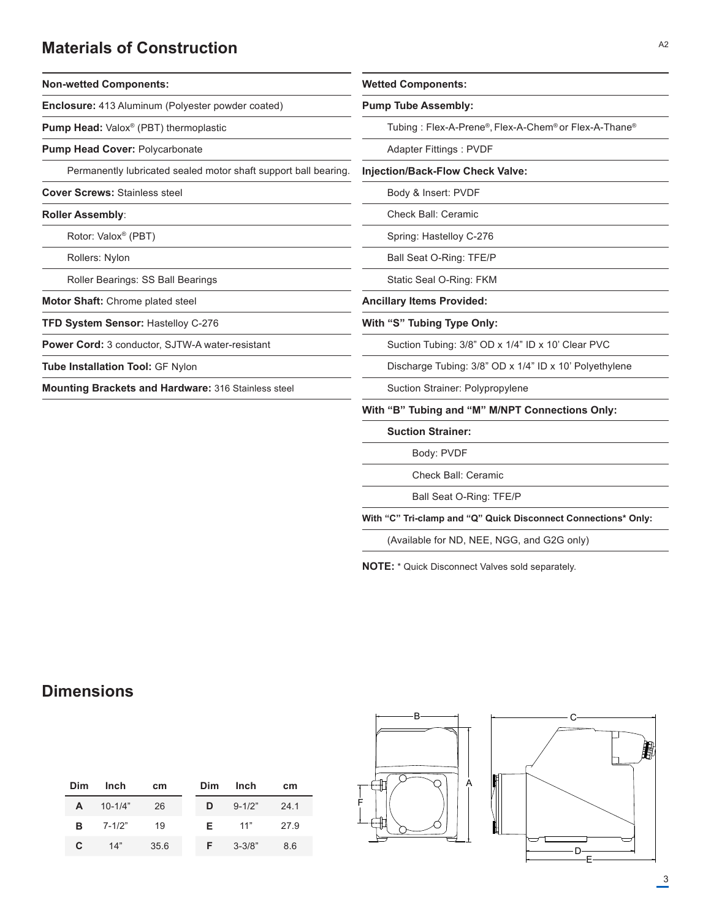### **Materials of Construction**

| <b>Non-wetted Components:</b>                                   | <b>Wetted Components:</b><br><b>Pump Tube Assembly:</b><br>Tubing: Flex-A-Prene®, Flex-A-Chem® or Flex-A-Thane®                                |  |  |  |  |
|-----------------------------------------------------------------|------------------------------------------------------------------------------------------------------------------------------------------------|--|--|--|--|
| <b>Enclosure:</b> 413 Aluminum (Polyester powder coated)        |                                                                                                                                                |  |  |  |  |
| <b>Pump Head:</b> Valox <sup>®</sup> (PBT) thermoplastic        |                                                                                                                                                |  |  |  |  |
| <b>Pump Head Cover: Polycarbonate</b>                           | Adapter Fittings: PVDF                                                                                                                         |  |  |  |  |
| Permanently lubricated sealed motor shaft support ball bearing. | <b>Injection/Back-Flow Check Valve:</b><br>Body & Insert: PVDF                                                                                 |  |  |  |  |
| <b>Cover Screws: Stainless steel</b>                            |                                                                                                                                                |  |  |  |  |
| <b>Roller Assembly:</b>                                         | Check Ball: Ceramic                                                                                                                            |  |  |  |  |
| Rotor: Valox <sup>®</sup> (PBT)                                 | Spring: Hastelloy C-276<br>Ball Seat O-Ring: TFE/P<br>Static Seal O-Ring: FKM                                                                  |  |  |  |  |
| Rollers: Nylon                                                  |                                                                                                                                                |  |  |  |  |
| Roller Bearings: SS Ball Bearings                               |                                                                                                                                                |  |  |  |  |
| <b>Motor Shaft:</b> Chrome plated steel                         | <b>Ancillary Items Provided:</b>                                                                                                               |  |  |  |  |
| TFD System Sensor: Hastelloy C-276                              | With "S" Tubing Type Only:                                                                                                                     |  |  |  |  |
| <b>Power Cord:</b> 3 conductor, SJTW-A water-resistant          | Suction Tubing: 3/8" OD x 1/4" ID x 10' Clear PVC<br>Discharge Tubing: 3/8" OD x 1/4" ID x 10' Polyethylene<br>Suction Strainer: Polypropylene |  |  |  |  |
| <b>Tube Installation Tool: GF Nylon</b>                         |                                                                                                                                                |  |  |  |  |
| Mounting Brackets and Hardware: 316 Stainless steel             |                                                                                                                                                |  |  |  |  |
|                                                                 |                                                                                                                                                |  |  |  |  |

**With "B" Tubing and "M" M/NPT Connections Only:**

**Suction Strainer:**

Body: PVDF

Check Ball: Ceramic

Ball Seat O-Ring: TFE/P

**With "C" Tri-clamp and "Q" Quick Disconnect Connections\* Only:**

(Available for ND, NEE, NGG, and G2G only)

**NOTE:** \* Quick Disconnect Valves sold separately.

### **Dimensions**

| Dim | Inch        | <b>cm</b> | Dim | Inch       | cm   |
|-----|-------------|-----------|-----|------------|------|
| A   | $10 - 1/4"$ | 26        | D   | $9 - 1/2"$ | 241  |
| в   | 7-1/2"      | 19        | F.  | 11"        | 27.9 |
| C   | 14"         | 35.6      | F.  | $3 - 3/8"$ | 8.6  |





 $\mathcal{L}$ 

 $\overline{\phantom{a}}$